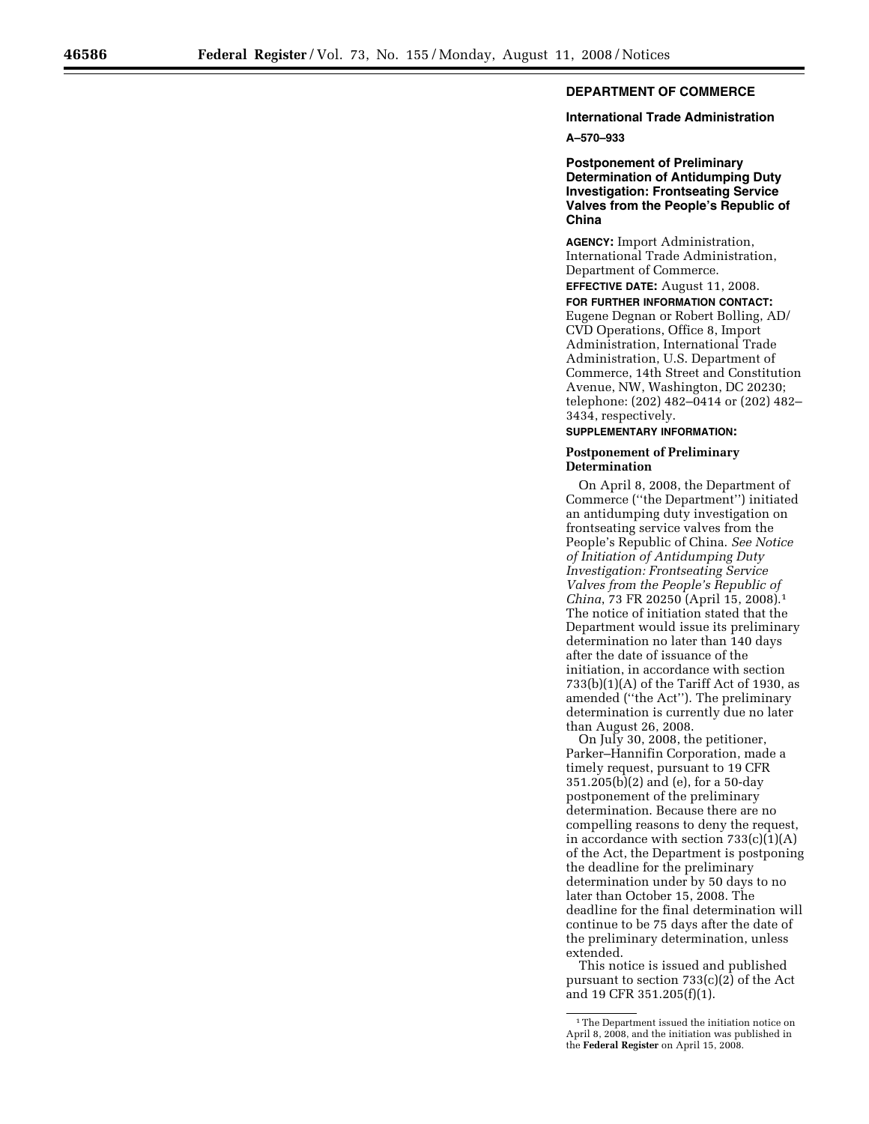## **DEPARTMENT OF COMMERCE**

## **International Trade Administration**

**A–570–933** 

**Postponement of Preliminary Determination of Antidumping Duty Investigation: Frontseating Service Valves from the People's Republic of China** 

**AGENCY:** Import Administration, International Trade Administration, Department of Commerce.

**EFFECTIVE DATE:** August 11, 2008. **FOR FURTHER INFORMATION CONTACT:**  Eugene Degnan or Robert Bolling, AD/ CVD Operations, Office 8, Import Administration, International Trade Administration, U.S. Department of Commerce, 14th Street and Constitution Avenue, NW, Washington, DC 20230; telephone: (202) 482–0414 or (202) 482– 3434, respectively.

**SUPPLEMENTARY INFORMATION:** 

## **Postponement of Preliminary Determination**

On April 8, 2008, the Department of Commerce (''the Department'') initiated an antidumping duty investigation on frontseating service valves from the People's Republic of China. *See Notice of Initiation of Antidumping Duty Investigation: Frontseating Service Valves from the People's Republic of China*, 73 FR 20250 (April 15, 2008).1 The notice of initiation stated that the Department would issue its preliminary determination no later than 140 days after the date of issuance of the initiation, in accordance with section 733(b)(1)(A) of the Tariff Act of 1930, as amended (''the Act''). The preliminary determination is currently due no later than August 26, 2008.

On July 30, 2008, the petitioner, Parker–Hannifin Corporation, made a timely request, pursuant to 19 CFR 351.205(b)(2) and (e), for a 50-day postponement of the preliminary determination. Because there are no compelling reasons to deny the request, in accordance with section  $733(c)(1)(A)$ of the Act, the Department is postponing the deadline for the preliminary determination under by 50 days to no later than October 15, 2008. The deadline for the final determination will continue to be 75 days after the date of the preliminary determination, unless extended.

This notice is issued and published pursuant to section 733(c)(2) of the Act and 19 CFR 351.205(f)(1).

<sup>&</sup>lt;sup>1</sup>The Department issued the initiation notice on April 8, 2008, and the initiation was published in the **Federal Register** on April 15, 2008.